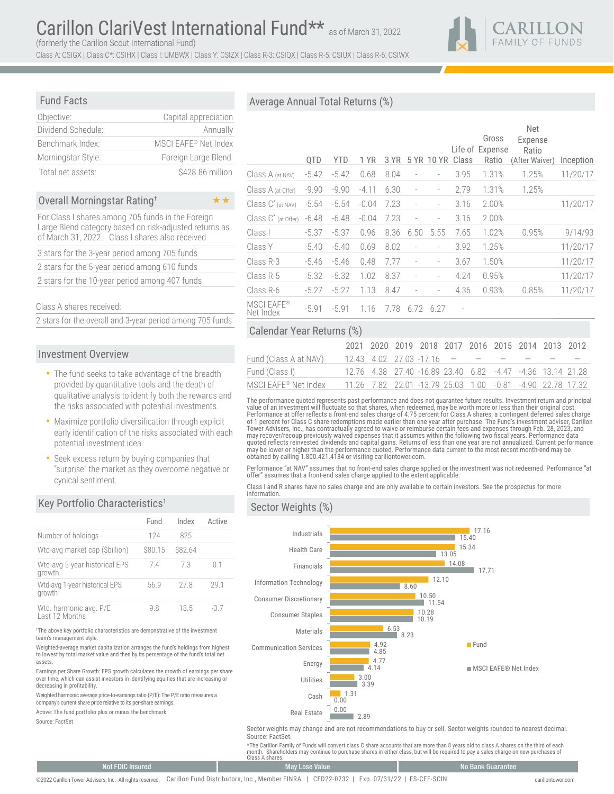CARILLON<br>FAMILY OF FUNDS

Class A: CSIGX | Class C\*: CSIHX | Class I: UMBWX | Class Y: CSIZX | Class R-3: CSIQX | Class R-5: CSIUX | Class R-6: CSIWX

### Fund Facts

| Objective:         | Capital appreciation |
|--------------------|----------------------|
| Dividend Schedule: | Annually             |
| Benchmark Index:   | MSCI EAFE® Net Index |
| Morningstar Style: | Foreign Large Blend  |
| Total net assets:  | \$428.86 million     |

#### Overall Morningstar Rating† ○ ○ ★★

For Class I shares among 705 funds in the Foreign Large Blend category based on risk-adjusted returns as of March 31, 2022. Class I shares also received

|  |  |  | 3 stars for the 3-year period among 705 funds  |  |
|--|--|--|------------------------------------------------|--|
|  |  |  | 2 stars for the 5-year period among 610 funds  |  |
|  |  |  | 2 stars for the 10-year period among 407 funds |  |

### Class A shares received:

2 stars for the overall and 3-year period among 705 funds

### Investment Overview

- The fund seeks to take advantage of the breadth provided by quantitative tools and the depth of qualitative analysis to identify both the rewards and the risks associated with potential investments.
- Maximize portfolio diversification through explicit early identification of the risks associated with each potential investment idea.
- Seek excess return by buying companies that "surprise" the market as they overcome negative or cynical sentiment.

### Key Portfolio Characteristics<sup>1</sup>

|                                          | Fund    | Index  | Active |
|------------------------------------------|---------|--------|--------|
| Number of holdings                       | 124     | 825    |        |
| Wtd-avg market cap (Sbillion)            | \$80.15 | S82.64 |        |
| Wtd-avg 5-year historical EPS<br>growth  | 74      | 73     | 01     |
| Wtd-avg 1-year historical EPS<br>growth  | 56.9    | 27 R   | 291    |
| Wtd. harmonic avg. P/E<br>Last 12 Months | 9 8     | 13.5   | -37    |

1 The above key portfolio characteristics are demonstrative of the investment team's management style.

Weighted-average market capitalization arranges the fund's holdings from highest to lowest by total market value and then by its percentage of the fund's total net assets.

Earnings per Share Growth: EPS growth calculates the growth of earnings per share over time, which can assist investors in identifying equities that are increasing or decreasing in profitability.

Weighted harmonic average price-to-earnings ratio (P/E): The P/E ratio measures a company's current share price relative to its per-share earnings.

Active: The fund portfolio plus or minus the benchmark.

Source: FactSet

# Average Annual Total Returns (%)

|                         | QTD     | <b>YTD</b> | 1 YR    | 3 YR |                          | 5 YR 10 YR               | Class                    | Gross<br>Life of Expense<br>Ratio | <b>Net</b><br>Expense<br>Ratio<br>(After Waiver) | Inception |
|-------------------------|---------|------------|---------|------|--------------------------|--------------------------|--------------------------|-----------------------------------|--------------------------------------------------|-----------|
| Class A (at NAV)        | $-5.42$ | $-5.42$    | 0.68    | 8.04 | $\overline{\phantom{m}}$ | $\overline{a}$           | 3.95                     | 1.31%                             | 1.25%                                            | 11/20/17  |
| Class A (at Offer)      | $-9.90$ | $-9.90$    | $-4.11$ | 6.30 | $\frac{1}{2}$            | -                        | 2.79                     | 1.31%                             | 1.25%                                            |           |
| $Class C^*(at\, NAV)$   | $-5.54$ | $-5.54$    | $-0.04$ | 7.23 | $\qquad \qquad -$        | -                        | 3.16                     | 2.00%                             |                                                  | 11/20/17  |
| Class $C^*$ (at Offer)  | $-6.48$ | $-6.48$    | $-0.04$ | 7.23 | $\overline{\phantom{m}}$ | $\overline{a}$           | 3.16                     | 2.00%                             |                                                  |           |
| Class I                 | $-5.37$ | $-5.37$    | 0.96    | 8.36 | 6.50                     | 5.55                     | 7.65                     | 1.02%                             | 0.95%                                            | 9/14/93   |
| Class Y                 | $-5.40$ | $-5.40$    | 0.69    | 8.02 | $\qquad \qquad -$        | -                        | 3.92                     | 1.25%                             |                                                  | 11/20/17  |
| Class R-3               | $-5.46$ | $-5.46$    | 0.48    | 7.77 | $\qquad \qquad -$        | $\overline{\phantom{m}}$ | 3.67                     | 1.50%                             |                                                  | 11/20/17  |
| Class R-5               | $-5.32$ | $-5.32$    | 1.02    | 8.37 | $\overline{a}$           |                          | 4.24                     | 0.95%                             |                                                  | 11/20/17  |
| Class R-6               | $-5.27$ | $-5.27$    | 1.13    | 8.47 | $\overline{a}$           |                          | 4.36                     | 0.93%                             | 0.85%                                            | 11/20/17  |
| MSCI EAFE®<br>Net Index | $-5.91$ | $-5.91$    | 1.16    | 7.78 | 6.72                     | 6.27                     | $\overline{\phantom{a}}$ |                                   |                                                  |           |

## Calendar Year Returns (%)

|                       |  | 2021 2020 2019 2018 2017 2016 2015 2014 2013 2012 |  |  |                                                            |
|-----------------------|--|---------------------------------------------------|--|--|------------------------------------------------------------|
| Fund (Class A at NAV) |  | $12.43$ 4.02 27.03 -17.16 $    -$                 |  |  |                                                            |
| Fund (Class I)        |  |                                                   |  |  | 12.76 4.38 27.40 -16.89 23.40 6.82 -4.47 -4.36 13.14 21.28 |
| MSCI EAFE® Net Index  |  |                                                   |  |  | 11.26 7.82 22.01 -13.79 25.03 1.00 -0.81 -4.90 22.78 17.32 |

The performance quoted represents past performance and does not guarantee future results. Investment return and principal<br>value of an investment will fluctuate so that shares, when redeemed, may be worth more or less than Performance at offer reflects a front-end sales charge of 4.75 percent for Class A shares; a contingent deferred sales charge<br>of 1 percent for Class C share redemptions made earlier than one year after purchase. The Fund's may recover/recoup previously waived expenses that it assumes within the following two fiscal years. Performance data<br>quoted reflects reinvested dividends and capital gains. Returns of less than one year are not annualized may be lower or higher than the performance quoted. Performance data current to the most recent month-end may be obtained by calling 1.800.421.4184 or visiting carillontower.com.

Performance "at NAV" assumes that no front-end sales charge applied or the investment was not redeemed. Performance "at offer" assumes that a front-end sales charge applied to the extent applicable.

Class I and R shares have no sales charge and are only available to certain investors. See the prospectus for more information.

### Sector Weights (%)



Sector weights may change and are not recommendations to buy or sell. Sector weights rounded to nearest decimal. Source: FactSet.

\*The Carillon Family of Funds will convert class C share accounts that are more than 8 years old to class A shares on the third of each<br>month. Shareholders may continue to purchase shares in either class, but will be requ Class A shares.